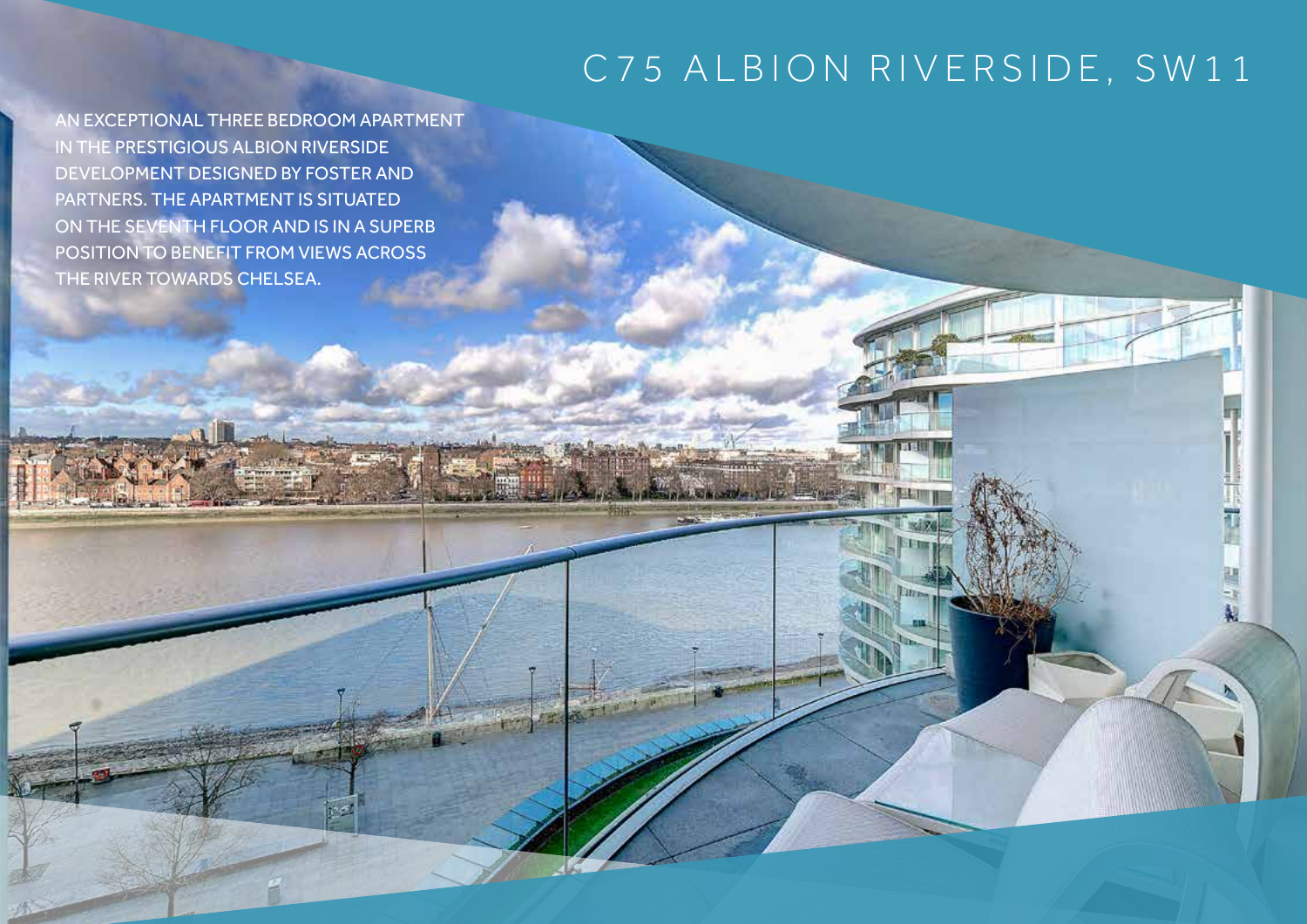## C75 ALBION RIVERSIDE, SW11

AN EXCEPTIONAL THREE BEDROOM APARTMENT IN THE PRESTIGIOUS ALBION RIVERSIDE DEVELOPMENT DESIGNED BY FOSTER AND PARTNERS. THE APARTMENT IS SITUATED ON THE SEVENTH FLOOR AND IS IN A SUPERB POSITION TO BENEFIT FROM VIEWS ACROSS THE RIVER TOWARDS CHELSEA.